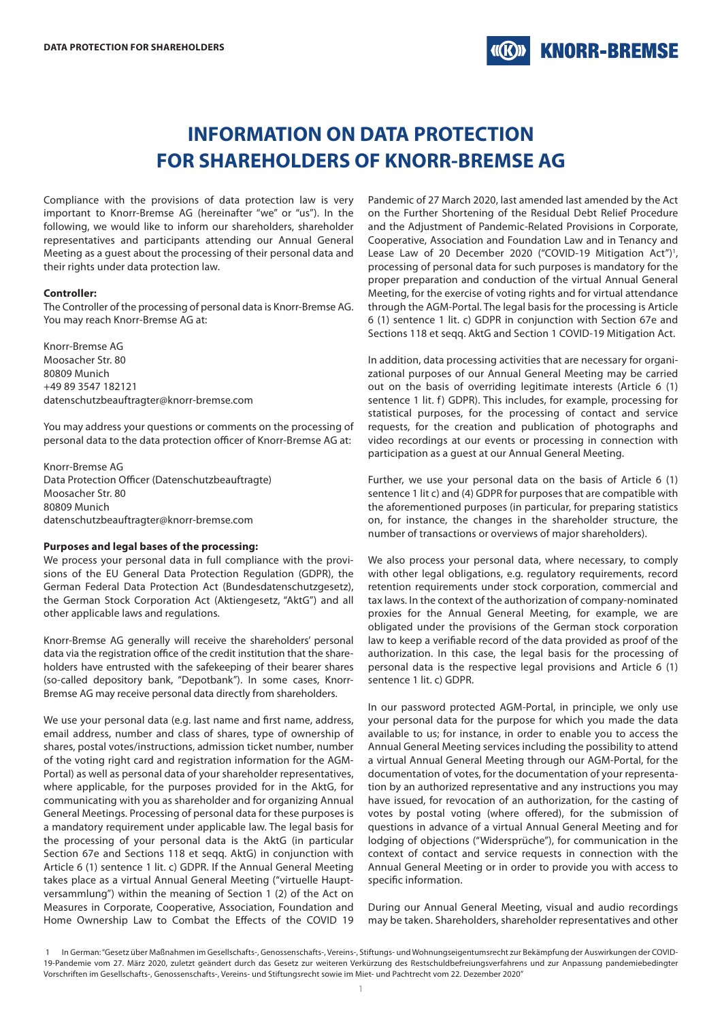# **INFORMATION ON DATA PROTECTION FOR SHAREHOLDERS OF KNORR-BREMSE AG**

Compliance with the provisions of data protection law is very important to Knorr-Bremse AG (hereinafter "we" or "us"). In the following, we would like to inform our shareholders, shareholder representatives and participants attending our Annual General Meeting as a guest about the processing of their personal data and their rights under data protection law.

#### **Controller:**

The Controller of the processing of personal data is Knorr-Bremse AG. You may reach Knorr-Bremse AG at:

Knorr-Bremse AG Moosacher Str. 80 80809 Munich +49 89 3547 182121 datenschutzbeauftragter@knorr-bremse.com

You may address your questions or comments on the processing of personal data to the data protection officer of Knorr-Bremse AG at:

Knorr-Bremse AG Data Protection Officer (Datenschutzbeauftragte) Moosacher Str. 80 80809 Munich datenschutzbeauftragter@knorr-bremse.com

#### **Purposes and legal bases of the processing:**

We process your personal data in full compliance with the provisions of the EU General Data Protection Regulation (GDPR), the German Federal Data Protection Act (Bundesdatenschutzgesetz), the German Stock Corporation Act (Aktiengesetz, "AktG") and all other applicable laws and regulations.

Knorr-Bremse AG generally will receive the shareholders' personal data via the registration office of the credit institution that the shareholders have entrusted with the safekeeping of their bearer shares (so-called depository bank, "Depotbank"). In some cases, Knorr-Bremse AG may receive personal data directly from shareholders.

We use your personal data (e.g. last name and first name, address, email address, number and class of shares, type of ownership of shares, postal votes/instructions, admission ticket number, number of the voting right card and registration information for the AGM-Portal) as well as personal data of your shareholder representatives, where applicable, for the purposes provided for in the AktG, for communicating with you as shareholder and for organizing Annual General Meetings. Processing of personal data for these purposes is a mandatory requirement under applicable law. The legal basis for the processing of your personal data is the AktG (in particular Section 67e and Sections 118 et seqq. AktG) in conjunction with Article 6 (1) sentence 1 lit. c) GDPR. If the Annual General Meeting takes place as a virtual Annual General Meeting ("virtuelle Hauptversammlung") within the meaning of Section 1 (2) of the Act on Measures in Corporate, Cooperative, Association, Foundation and Home Ownership Law to Combat the Effects of the COVID 19

Pandemic of 27 March 2020, last amended last amended by the Act on the Further Shortening of the Residual Debt Relief Procedure and the Adjustment of Pandemic-Related Provisions in Corporate, Cooperative, Association and Foundation Law and in Tenancy and Lease Law of 20 December 2020 ("COVID-19 Mitigation Act")<sup>1</sup>, processing of personal data for such purposes is mandatory for the proper preparation and conduction of the virtual Annual General Meeting, for the exercise of voting rights and for virtual attendance through the AGM-Portal. The legal basis for the processing is Article 6 (1) sentence 1 lit. c) GDPR in conjunction with Section 67e and Sections 118 et seqq. AktG and Section 1 COVID-19 Mitigation Act.

In addition, data processing activities that are necessary for organizational purposes of our Annual General Meeting may be carried out on the basis of overriding legitimate interests (Article 6 (1) sentence 1 lit. f) GDPR). This includes, for example, processing for statistical purposes, for the processing of contact and service requests, for the creation and publication of photographs and video recordings at our events or processing in connection with participation as a guest at our Annual General Meeting.

Further, we use your personal data on the basis of Article 6 (1) sentence 1 lit c) and (4) GDPR for purposes that are compatible with the aforementioned purposes (in particular, for preparing statistics on, for instance, the changes in the shareholder structure, the number of transactions or overviews of major shareholders).

We also process your personal data, where necessary, to comply with other legal obligations, e.g. regulatory requirements, record retention requirements under stock corporation, commercial and tax laws. In the context of the authorization of company-nominated proxies for the Annual General Meeting, for example, we are obligated under the provisions of the German stock corporation law to keep a verifiable record of the data provided as proof of the authorization. In this case, the legal basis for the processing of personal data is the respective legal provisions and Article 6 (1) sentence 1 lit. c) GDPR.

In our password protected AGM-Portal, in principle, we only use your personal data for the purpose for which you made the data available to us; for instance, in order to enable you to access the Annual General Meeting services including the possibility to attend a virtual Annual General Meeting through our AGM-Portal, for the documentation of votes, for the documentation of your representation by an authorized representative and any instructions you may have issued, for revocation of an authorization, for the casting of votes by postal voting (where offered), for the submission of questions in advance of a virtual Annual General Meeting and for lodging of objections ("Widersprüche"), for communication in the context of contact and service requests in connection with the Annual General Meeting or in order to provide you with access to specific information.

During our Annual General Meeting, visual and audio recordings may be taken. Shareholders, shareholder representatives and other

 <sup>1</sup> In German: "Gesetz über Maßnahmen im Gesellschafts-, Genossenschafts-, Vereins-, Stiftungs- und Wohnungseigentumsrecht zur Bekämpfung der Auswirkungen der COVID-19-Pandemie vom 27. März 2020, zuletzt geändert durch das Gesetz zur weiteren Verkürzung des Restschuldbefreiungsverfahrens und zur Anpassung pandemiebedingter Vorschriften im Gesellschafts-, Genossenschafts-, Vereins- und Stiftungsrecht sowie im Miet- und Pachtrecht vom 22. Dezember 2020"